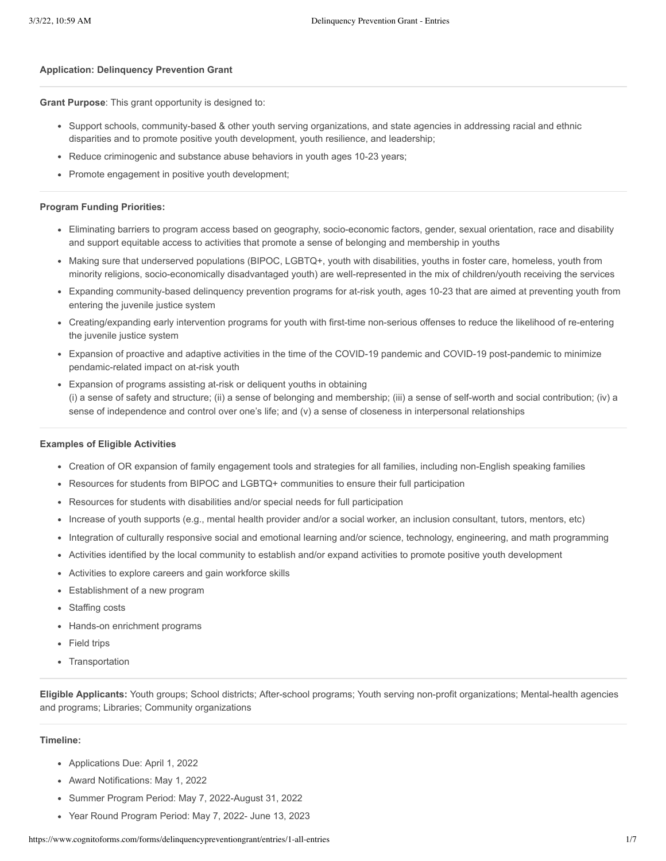#### **Application: Delinquency Prevention Grant**

**Grant Purpose**: This grant opportunity is designed to:

- Support schools, community-based & other youth serving organizations, and state agencies in addressing racial and ethnic disparities and to promote positive youth development, youth resilience, and leadership;
- Reduce criminogenic and substance abuse behaviors in youth ages 10-23 years;
- Promote engagement in positive youth development;

#### **Program Funding Priorities:**

- Eliminating barriers to program access based on geography, socio-economic factors, gender, sexual orientation, race and disability and support equitable access to activities that promote a sense of belonging and membership in youths
- Making sure that underserved populations (BIPOC, LGBTQ+, youth with disabilities, youths in foster care, homeless, youth from minority religions, socio-economically disadvantaged youth) are well-represented in the mix of children/youth receiving the services
- Expanding community-based delinquency prevention programs for at-risk youth, ages 10-23 that are aimed at preventing youth from entering the juvenile justice system
- Creating/expanding early intervention programs for youth with first-time non-serious offenses to reduce the likelihood of re-entering the juvenile justice system
- Expansion of proactive and adaptive activities in the time of the COVID-19 pandemic and COVID-19 post-pandemic to minimize pendamic-related impact on at-risk youth
- Expansion of programs assisting at-risk or deliquent youths in obtaining (i) a sense of safety and structure; (ii) a sense of belonging and membership; (iii) a sense of self-worth and social contribution; (iv) a sense of independence and control over one's life; and (v) a sense of closeness in interpersonal relationships

#### **Examples of Eligible Activities**

- Creation of OR expansion of family engagement tools and strategies for all families, including non-English speaking families
- Resources for students from BIPOC and LGBTQ+ communities to ensure their full participation  $\bullet$
- Resources for students with disabilities and/or special needs for full participation
- Increase of youth supports (e.g., mental health provider and/or a social worker, an inclusion consultant, tutors, mentors, etc)
- Integration of culturally responsive social and emotional learning and/or science, technology, engineering, and math programming  $\bullet$
- Activities identified by the local community to establish and/or expand activities to promote positive youth development
- Activities to explore careers and gain workforce skills
- Establishment of a new program
- Staffing costs  $\bullet$
- Hands-on enrichment programs
- Field trips  $\bullet$
- Transportation

**Eligible Applicants:** Youth groups; School districts; After-school programs; Youth serving non-profit organizations; Mental-health agencies and programs; Libraries; Community organizations

#### **Timeline:**

- Applications Due: April 1, 2022
- Award Notifications: May 1, 2022
- Summer Program Period: May 7, 2022-August 31, 2022
- Year Round Program Period: May 7, 2022- June 13, 2023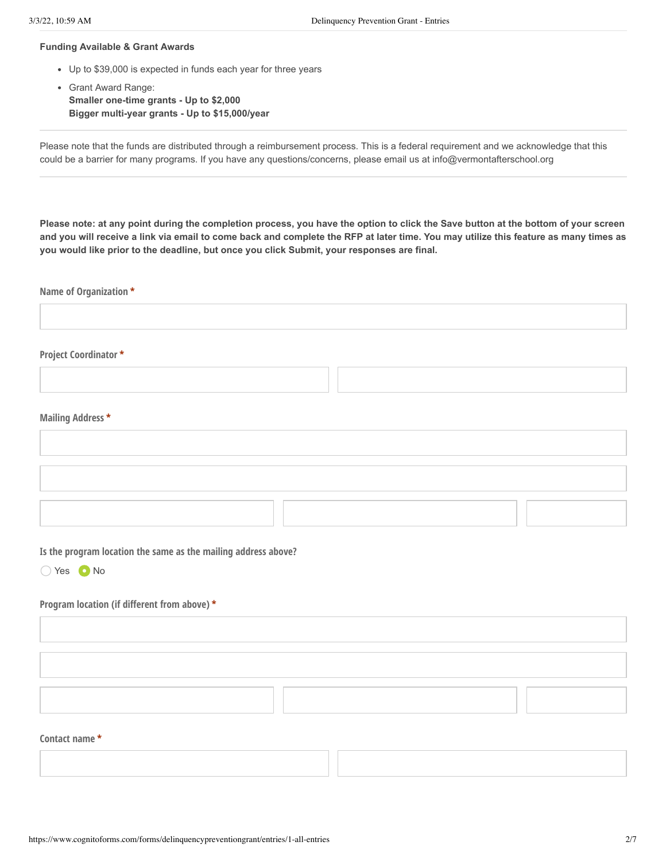#### **Funding Available & Grant Awards**

- Up to \$39,000 is expected in funds each year for three years
- Grant Award Range: **Smaller one-time grants - Up to \$2,000 Bigger multi-year grants - Up to \$15,000/year**

Please note that the funds are distributed through a reimbursement process. This is a federal requirement and we acknowledge that this could be a barrier for many programs. If you have any questions/concerns, please email us at info@vermontafterschool.org

**Please note: at any point during the completion process, you have the option to click the Save button at the bottom of your screen and you will receive a link via email to come back and complete the RFP at later time. You may utilize this feature as many times as you would like prior to the deadline, but once you click Submit, your responses are final.**

**Name of Organization \***

### **Project Coordinator \***

#### **Mailing Address \***

**Is the program location the same as the mailing address above?**

Yes Mo

### **Program location (if different from above) \***

### **Contact name \***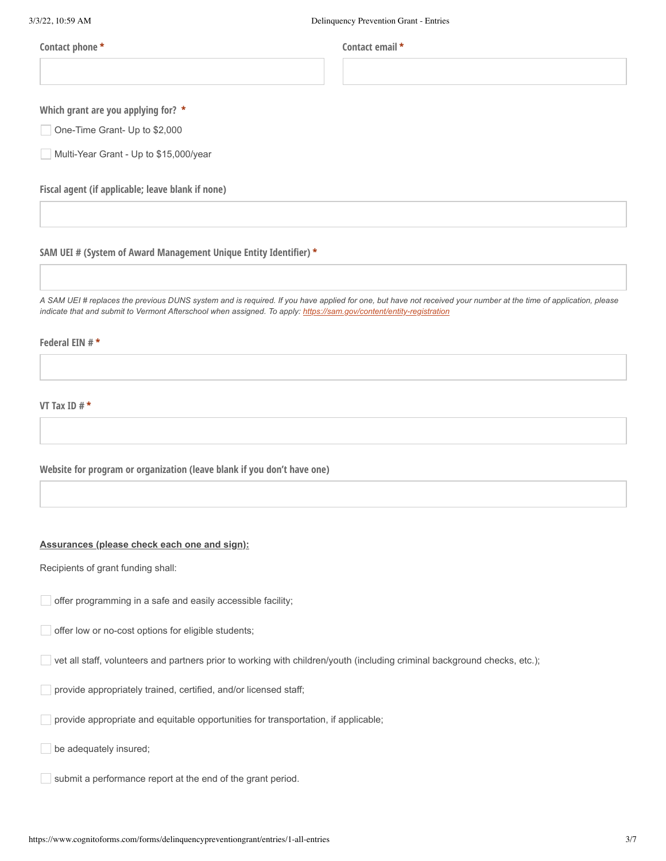**Contact phone \* Contact email \***

**Which grant are you applying for? \***

One-Time Grant- Up to \$2,000

Multi-Year Grant - Up to \$15,000/year

**Fiscal agent (if applicable; leave blank if none)**

### **SAM UEI # (System of Award Management Unique Entity Identifier) \***

A SAM UEI # replaces the previous DUNS system and is required. If you have applied for one, but have not received your number at the time of application, please *indicate that and submit to Vermont Afterschool when assigned. To apply: <https://sam.gov/content/entity-registration>*

### **Federal EIN # \***

**VT Tax ID # \***

**Website for program or organization (leave blank if you don't have one)**

#### **Assurances (please check each one and sign):**

Recipients of grant funding shall:

offer programming in a safe and easily accessible facility;

offer low or no-cost options for eligible students;

vet all staff, volunteers and partners prior to working with children/youth (including criminal background checks, etc.);

provide appropriately trained, certified, and/or licensed staff;

provide appropriate and equitable opportunities for transportation, if applicable;

be adequately insured;

 $\Box$  submit a performance report at the end of the grant period.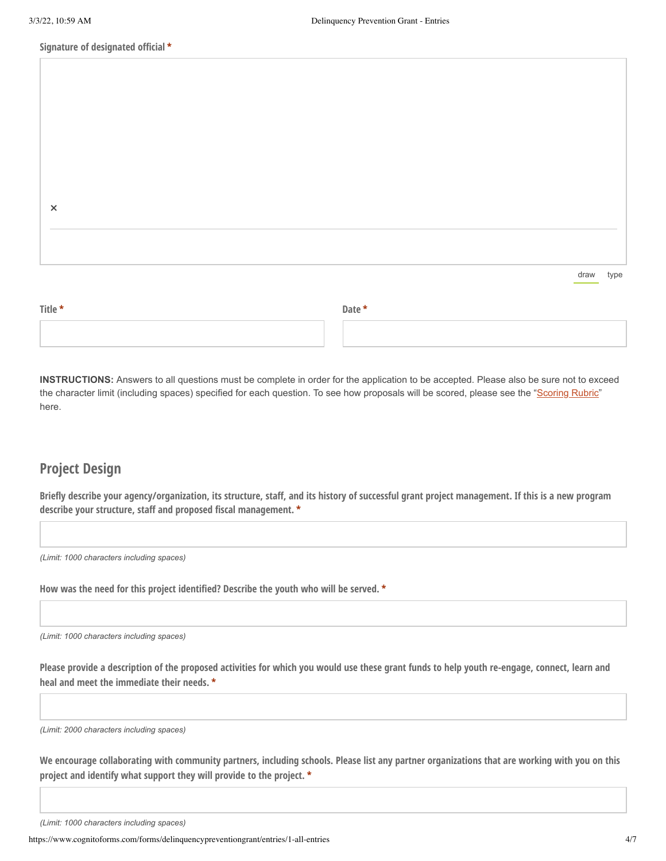### **Signature of designated official \***

| $\times$ |  |  |           |  |
|----------|--|--|-----------|--|
|          |  |  |           |  |
|          |  |  |           |  |
|          |  |  | draw type |  |

| Title * |  | Date * |  |  |
|---------|--|--------|--|--|
|         |  |        |  |  |

**INSTRUCTIONS:** Answers to all questions must be complete in order for the application to be accepted. Please also be sure not to exceed the character limit (including spaces) specified for each question. To see how proposals will be scored, please see the "[Scoring Rubric"](https://drive.google.com/file/d/1JpyRmh003FfGgPhaQ7sMp9jzh3gqwfnw/view) here.

# **Project Design**

Briefly describe your agency/organization, its structure, staff, and its history of successful grant project management. If this is a new program **describe your structure, staff and proposed fiscal management. \***

*(Limit: 1000 characters including spaces)*

**How was the need for this project identified? Describe the youth who will be served. \***

*(Limit: 1000 characters including spaces)*

Please provide a description of the proposed activities for which you would use these grant funds to help youth re-engage, connect, learn and **heal and meet the immediate their needs. \***

*(Limit: 2000 characters including spaces)*

We encourage collaborating with community partners, including schools. Please list any partner organizations that are working with you on this **project and identify what support they will provide to the project. \***

https://www.cognitoforms.com/forms/delinquencypreventiongrant/entries/1-all-entries 4/7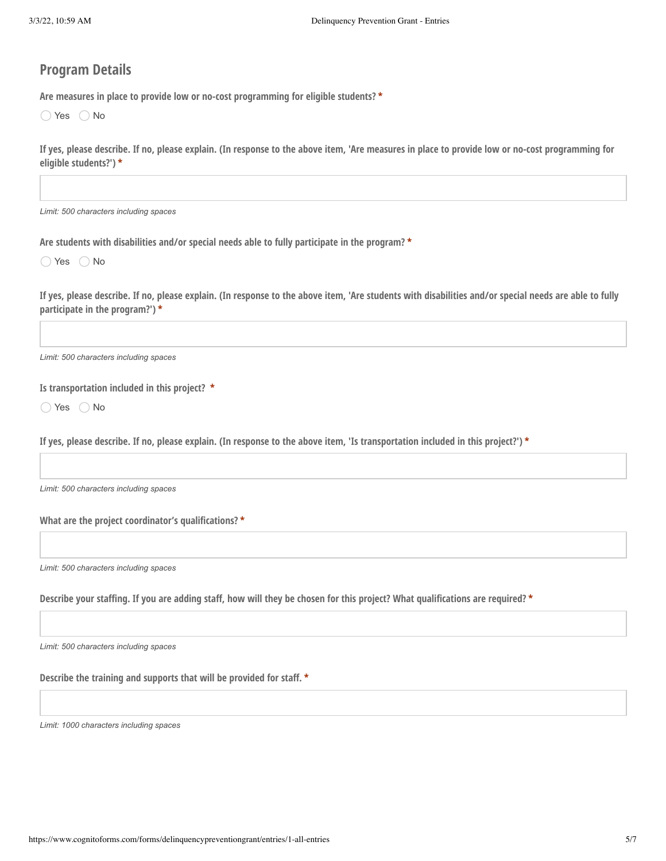# **Program Details**

**Are measures in place to provide low or no-cost programming for eligible students? \***

 $\bigcirc$  Yes  $\bigcirc$  No

| If yes, please describe. If no, please explain. (In response to the above item, 'Are measures in place to provide low or no-cost programming for |  |  |  |
|--------------------------------------------------------------------------------------------------------------------------------------------------|--|--|--|
| eligible students?') *                                                                                                                           |  |  |  |

*Limit: 500 characters including spaces*

**Are students with disabilities and/or special needs able to fully participate in the program? \***

 $\bigcirc$  Yes  $\bigcirc$  No

If yes, please describe. If no, please explain. (In response to the above item, 'Are students with disabilities and/or special needs are able to fully **participate in the program?') \***

*Limit: 500 characters including spaces*

**Is transportation included in this project? \***

 $\bigcirc$  Yes  $\bigcirc$  No

If yes, please describe. If no, please explain. (In response to the above item, 'Is transportation included in this project?') \*

*Limit: 500 characters including spaces*

**What are the project coordinator's qualifications? \***

*Limit: 500 characters including spaces*

Describe your staffing. If you are adding staff, how will they be chosen for this project? What qualifications are required? \*

*Limit: 500 characters including spaces*

**Describe the training and supports that will be provided for staff. \***

*Limit: 1000 characters including spaces*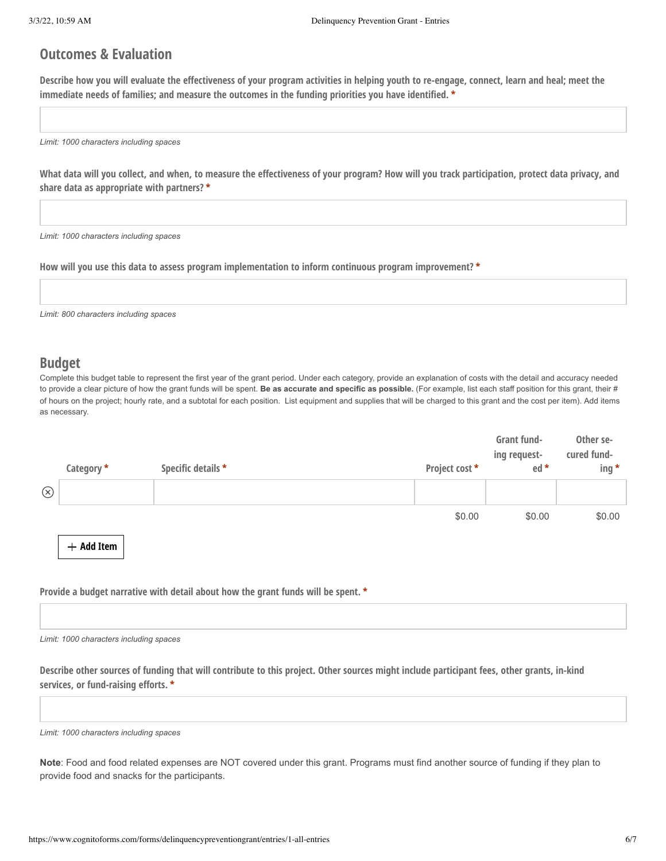# **Outcomes & Evaluation**

Describe how you will evaluate the effectiveness of your program activities in helping youth to re-engage, connect, learn and heal; meet the **immediate needs of families; and measure the outcomes in the funding priorities you have identified. \***

*Limit: 1000 characters including spaces*

What data will you collect, and when, to measure the effectiveness of your program? How will you track participation, protect data privacy, and **share data as appropriate with partners? \***

*Limit: 1000 characters including spaces*

**How will you use this data to assess program implementation to inform continuous program improvement? \***

*Limit: 800 characters including spaces*

# **Budget**

Complete this budget table to represent the first year of the grant period. Under each category, provide an explanation of costs with the detail and accuracy needed to provide a clear picture of how the grant funds will be spent. **Be as accurate and specific as possible.** (For example, list each staff position for this grant, their # of hours on the project; hourly rate, and a subtotal for each position. List equipment and supplies that will be charged to this grant and the cost per item). Add items as necessary.

|             | Category *   | Specific details * | Project cost * | Grant fund-<br>ing request-<br>ed * | Other se-<br>cured fund-<br>$ing *$ |
|-------------|--------------|--------------------|----------------|-------------------------------------|-------------------------------------|
| $\circledR$ |              |                    |                |                                     |                                     |
|             |              |                    | \$0.00         | \$0.00                              | \$0.00                              |
|             | $+$ Add Item |                    |                |                                     |                                     |

**Provide a budget narrative with detail about how the grant funds will be spent. \***

*Limit: 1000 characters including spaces*

Describe other sources of funding that will contribute to this project. Other sources might include participant fees, other grants, in-kind **services, or fund-raising efforts. \***

*Limit: 1000 characters including spaces*

**Note**: Food and food related expenses are NOT covered under this grant. Programs must find another source of funding if they plan to provide food and snacks for the participants.